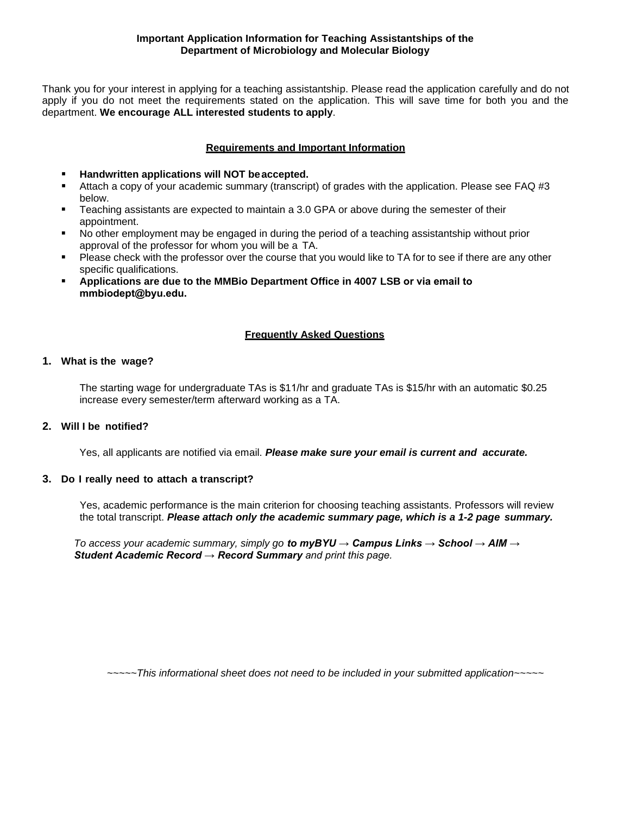Thank you for your interest in applying for a teaching assistantship. Please read the application carefully and do not apply if you do not meet the requirements stated on the application. This will save time for both you and the department. **We encourage ALL interested students to apply**.

# **Requirements and Important Information**

- **Handwritten applications will NOT be accepted.**
- Attach a copy of your academic summary (transcript) of grades with the application. Please see FAQ #3 below.
- Teaching assistants are expected to maintain a 3.0 GPA or above during the semester of their appointment.
- No other employment may be engaged in during the period of a teaching assistantship without prior approval of the professor for whom you will be a TA.
- Please check with the professor over the course that you would like to TA for to see if there are any other specific qualifications.
- **Applications are due to the MMBio Department Office in 4007 LSB or via email to [mmbiodept@byu.edu](mailto:mmbiodept@byu.edu).**

## **Frequently Asked Questions**

## **1. What is the wage?**

The starting wage for undergraduate TAs is \$11/hr and graduate TAs is \$15/hr with an automatic \$0.25 increase every semester/term afterward working as a TA.

## **2. Will I be notified?**

Yes, all applicants are notified via email. *Please make sure your email is current and accurate.*

## **3. Do I really need to attach a transcript?**

Yes, academic performance is the main criterion for choosing teaching assistants. Professors will review the total transcript. *Please attach only the academic summary page, which is a 1-2 page summary.*

*To access your academic summary, simply go to myBYU → Campus Links → School → AIM → Student Academic Record → Record Summary and print this page.*

*~~~~~This informational sheet does not need to be included in your submitted application~~~~~*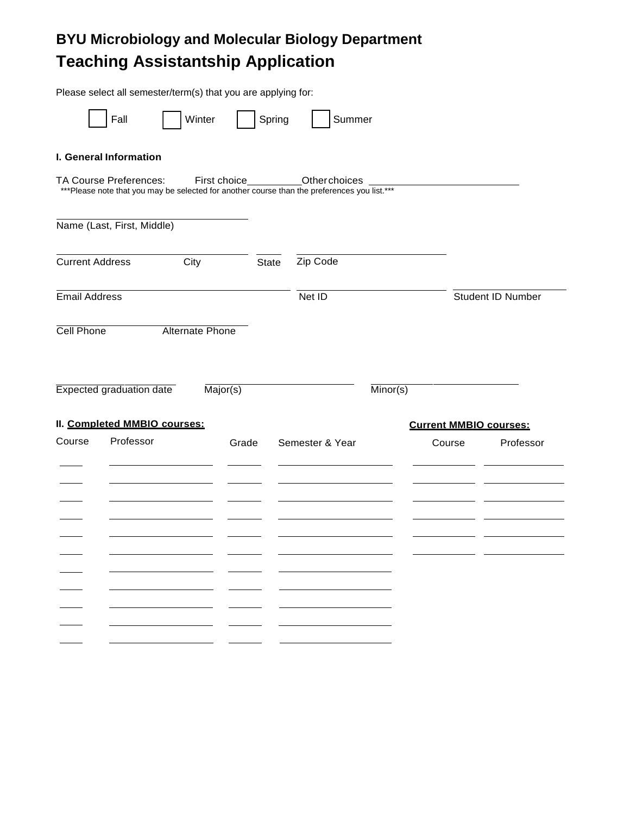# **BYU Microbiology and Molecular Biology Department Teaching Assistantship Application**

|                        |                                 | Please select all semester/term(s) that you are applying for: |              |                                                                                                                       |                               |                   |  |
|------------------------|---------------------------------|---------------------------------------------------------------|--------------|-----------------------------------------------------------------------------------------------------------------------|-------------------------------|-------------------|--|
|                        | Fall                            | Winter                                                        | Spring       | Summer                                                                                                                |                               |                   |  |
|                        | I. General Information          |                                                               |              |                                                                                                                       |                               |                   |  |
|                        | TA Course Preferences:          | First choice                                                  |              | <b>Other choices</b><br>*** Please note that you may be selected for another course than the preferences you list.*** |                               |                   |  |
|                        | Name (Last, First, Middle)      |                                                               |              |                                                                                                                       |                               |                   |  |
| <b>Current Address</b> |                                 | City                                                          | <b>State</b> | Zip Code                                                                                                              |                               |                   |  |
| <b>Email Address</b>   |                                 |                                                               |              | Net ID                                                                                                                |                               | Student ID Number |  |
| Cell Phone             |                                 | Alternate Phone                                               |              |                                                                                                                       |                               |                   |  |
|                        | <b>Expected graduation date</b> | $\overline{\text{Major(s)}}$                                  |              |                                                                                                                       | $\overline{\text{Minor(s)}}$  |                   |  |
|                        | II. Completed MMBIO courses:    |                                                               |              |                                                                                                                       | <b>Current MMBIO courses:</b> |                   |  |
| Course                 | Professor                       | Grade                                                         |              | Semester & Year                                                                                                       | Course                        | Professor         |  |
|                        |                                 |                                                               |              |                                                                                                                       |                               |                   |  |
|                        |                                 |                                                               |              |                                                                                                                       |                               |                   |  |
|                        |                                 |                                                               |              |                                                                                                                       |                               |                   |  |
|                        |                                 |                                                               |              |                                                                                                                       |                               |                   |  |
|                        |                                 |                                                               |              |                                                                                                                       |                               |                   |  |
|                        |                                 |                                                               |              |                                                                                                                       |                               |                   |  |
|                        |                                 |                                                               |              |                                                                                                                       |                               |                   |  |